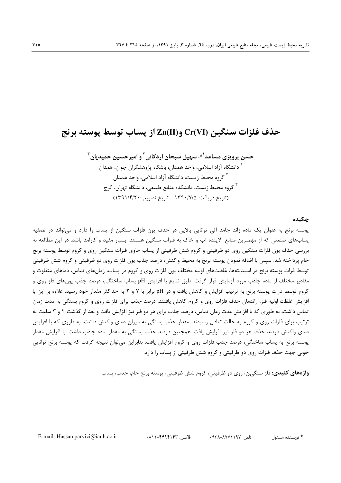## حذف فلزات سنگین Cr(VI) و(Zn(II) از پساب توسط پوسته برنج

حسن پرویزی مساعد<sup>۱</sup>\*، سهیل سبحان اردکانی<sup>۲</sup> و امیرحسین حمیدیان<sup>۳</sup> <sup>۱</sup> دانشگاه آزاد اسلامی، واحد همدان، باشگاه پژوهشگران جوان، همدان <sup>۲</sup> گروه محیط زیست، دانشگاه آزاد اسلامی، واحد همدان <sup>۳</sup> گروه محیط زیست، دانشکده منابع طبیعی، دانشگاه تهران، کرج (تاريخ دريافت: ۱۳۹۰/۷/۵ - تاريخ تصويب: ۱۳۹۱/۴/۲۰)

#### حكىدە

یوسته برنج به عنوان یک ماده زائد جامد آلی توانایی بالایی در حذف یون فلزات سنگین از پساب را دارد و می تواند در تصفیه یسابهای صنعتی که از مهمترین منابع آلاینده آب و خاک به فلزات سنگین هستند، بسیار مفید و کارامد باشد. در این مطالعه به بررسی حذف یون فلزات سنگین روی دو ظرفیتی و کروم شش ظرفیتی از پساب حاوی فلزات سنگین روی و کروم توسط پوسته برنج خام پرداخته شد. سپس با اضافه نمودن پوسته برنج به محیط واکنش، درصد جذب پون فلزات روی دو ظرفیتی و کروم شش ظرفیتی توسط ذرات پوسته برنج در اسیدیتهها، غلظتهای اولیه مختلف یون فلزات روی و کروم در پساب، زمانهای تماس، دماهای متفاوت و مقادیر مختلف از ماده جاذب مورد آزمایش قرار گرفت. طبق نتایج با افزایش pH پساب ساختگی، درصد جذب یونهای فلز روی و کروم توسط ذرات پوسته برنج به ترتیب افزایش و کاهش یافت و در pH برابر با ۷ و ۲ به حداکثر مقدار خود رسید. علاوه بر این با افزایش غلظت اولیه فلز، راندمان حذف فلزات روی و کروم کاهش یافتند. درصد جذب برای فلزات روی و کروم بستگی به مدت زمان تماس داشت، به طوری که با افزایش مدت زمان تماس، درصد جذب برای هر دو فلز نیز افزایش یافت و بعد از گذشت ۲ و ۳ ساعت به ترتیب برای فلزات روی و کروم به حالت تعادل رسیدند. مقدار جذب بستگی به میزان دمای واکنش داشت، به طوری که با افزایش دمای واکنش درصد حذف هر دو فلز نیز افزایش یافت. همچنین درصد جذب بستگی به مقدار ماده جاذب داشت. با افزایش مقدار یوسته برنج به پساب ساختگی، درصد جذب فلزات روی و کروم افزایش یافت. بنابراین می توان نتیجه گرفت که پوسته برنج توانایی خوبی جهت حذف فلزات روی دو ظرفیتی و کروم شش ظرفیتی از پساب را دارد.

**واژههای کلیدی:** فلز سنگین، روی دو ظرفیتی، کروم شش ظرفیتی، پوسته برنج خام، جذب، پساب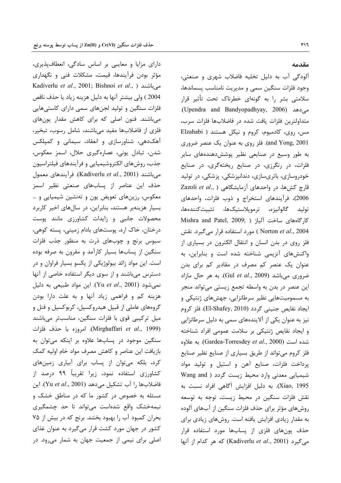دارای مزایا و معایبی بر اساس سادگی، انعطافپذیری، مؤثر بودن فرآیندها، قیمت، مشکلات فنی و نگهداری Kadiverlu et al., 2001; Bishnoi et al., ) میباشند 2004 ) ولي بيشتر آنها به دليل هزينه زياد يا حذف ناقص فلزات سنگین و تولید لجنهای سمی دارای کاستیهایی میباشند. فنون اصلی که برای کاهش مقدار یونهای فلزی از فاضلابها مفید میباشند، شامل رسوب، تبخیر، آهکدهی، شناورسازی و انعقاد، سیمانی و کمپلکس شدن، تبادل یونی، عصارهگیری حلال، اسمز معکوس، جذب، روشهای الکتروشیمیایی و فرآیندهای فیلتراسیون مي باشند (Kadiverlu et al., 2001). فرآيندهاي معمول حذف این عناصر از پسابهای صنعتی نظیر اسمز معکوس، رزینهای تعویض یون و تهنشین شیمیایی و … بسیار هزینهبر هستند، بنابراین، در سالهای اخیر کاربرد محصولات جانبی و زایدات کشاورزی مانند پوست درختان، خاک اره، پوستهای بادام زمینی، پسته کوهی، سبوس برنج و چوبهای ذرت به منظور جذب فلزات سنگین از پسابها بسیار کارآمد و مقرون به صرفه بوده است. این مواد زائد بیولوژیکی از یکسو بسیار فراوان و در دسترس میباشند و از سوی دیگر استفاده خاصی از آنها نمی شود (Yu et al., 2001). این مواد طبیعی به دلیل هزینه کم و فراهمی زیاد آنها و به علت دارا بودن گروههای عاملی از قبیل هیدروکسیل، کربوکسیل و فنل و میل ترکیبی قوی با فلزات سنگین، مناسبتر میباشند (Mirghaffari et al., 1999). امروزه با حذف فلزات سنگین موجود در پسابها علاوه بر اینکه می توان به بازيافت اين عناصر وكاهش مصرف مواد خام اوليه كمك کرد، بلکه میتوان از پساب برای آبیاری زمینهای کشاورزی استفاده نمود، زیرا تقریباً ۹۹ درصد از فاضلابها را آب تشكيل مى دهد (Yu et al., 2001). اين مسئله به خصوص در کشور ما که در مناطق خشک و نیمهخشک واقع شدهاست می تواند تا حد چشمگیری بحران كمبود آب را بهبود بخشد. برنج كه در بيش از ۷۵ کشور در جهان مورد کشت قرار میگیرد به عنوان غذای اصلی برای نیمی از جمعیت جهان به شمار می رود. در

#### مقدمه

آلودگی آب به دلیل تخلیه فاضلاب شهری و صنعتی، وجود فلزات سنگین سمی و مدیریت نامناسب پسماندها، سلامتی بشر را به گونهای خطرناک تحت تأثیر قرار می دهد (Upendra and Bandyopadhyay, 2006). متداولترين فلزات يافت شده در فاضلابها فلزات سرب، مس، روی، کادمیوم، کروم و نیکل هستند ( Elzahabi and Yong, 2001). فلز روی به عنوان یک عنصر ضروری به طور وسیع در صنایعی نظیر پوشش دهندههای سایر فلزات، در رنگرزی، در صنایع ریختهگری، در صنایع خودروسازی، باتریسازی، دندانپزشکی، پزشکی، در تولید Zazoli et al., ) اقارچ کشها، در واحدهای آزمایشگاهی 2006)، فرآیندهای استخراج و ذوب فلزات، واحدهای توليد گالوانيزه، ترموپلاستيکها، تثبيتکنندهها، Mishra and Patel, 2009; ) كارگاههاى ساخت آلياژ Norton et al., 2004 ) مورد استفاده قرار می گیرد. نقش فلز روی در بدن انسان و انتقال الکترون در بسیاری از واکنشهای آنزیمی شناخته شده است و بنابراین، به عنوان یک عنصر کم مصرف در مقادیر کم برای بدن ضروری میباشد (Gul et al., 2009). به هر حال مازاد این عنصر در بدن به واسطه تجمع زیستی میتواند منجر به مسمومیتهایی نظیر سرطانزایی، جهشهای ژنتیکی و ايجاد نقايص جنيني گردد (El-Shafey, 2010). فلز كروم نیز به عنوان یکی از آلایندههای سمی به دلیل سرطانزایی و ایجاد نقایص ژنتیکی بر سلامت عمومی افراد شناخته شده است (Gardea-Torresdey et al., 2000). به علاوه فلز کروم میتواند از طریق بسیاری از صنایع نظیر صنایع پرداخت فلزات، صنایع آهن و استیل و تولید مواد شیمیایی معدنی وارد محیط زیست گردد ( Wang and Xiao, 1995). به دليل افزايش آگاهي افراد نسبت به نقش فلزات سنگین در محیط زیست، توجه به توسعه روشهای مؤثر برای حذف فلزات سنگین از آبهای آلوده به مقدار زیادی افزایش یافته است. روشهای زیادی برای حذف یونهای فلزی از پسابها مورد استفاده قرار می گیرد (Kadiverlu et al., 2001) که هر کدام از آنها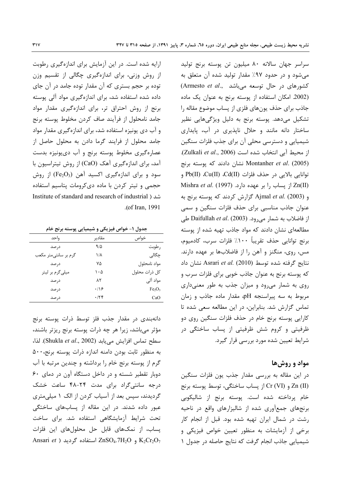سراسر جهان سالانه ٨٠ ميليون تن پوسته برنج توليد میشود و در حدود ۹۷٪ مقدار تولید شده آن متعلق به (Armesto et al., كشورهاى در حال توسعه مى باشد) (2002. امكان استفاده از يوسته برنج به عنوان يك ماده جاذب برای حذف یونهای فلزی از پساب موضوع مقاله را تشکیل میدهد. پوسته برنج به دلیل ویژگیهایی نظیر ساختار دانه مانند و حلال ناپذیری در آب، پایداری شیمیایی و دسترسی محلی آن برای جذب فلزات سنگین از محیط آبی انتخاب شده است (Zulkali et al., 2006). نشان دادند که پوسته برنج Montanher et al. (2005) توانايي بالايي در حذف فلزات (Cd(II ،Cu(II و Mishra et al. (1997) از یساب را بر عهده دارد. (1997) و Ajmal et al. (2003) گزارش كردند كه پوسته برنج به عنوان جاذب مناسبی برای حذف فلزات سنگین و سمی از فاضلاب به شمار میرود. Daifullah et al. (2003) طی مطالعهای نشان دادند که مواد جاذب تهیه شده از یوسته برنج توانايي حذف تقريباً ١٠٠٪ فلزات سرب، كادميوم، مس، روی، منگنز و آهن را از فاضلابها بر عهده دارند. نتايج گرفته شده توسط Asrari et al. (2010) نشان داد که پوسته برنج به عنوان جاذب خوبی برای فلزات سرب و روی به شمار می رود و میزان جذب به طور معنی داری مربوط به سه پیراسنجه pH، مقدار ماده جاذب و زمان تماس گزارش شد. بنابراین، در این مطالعه سعی شده تا کارایی پوسته برنج خام در حذف فلزات سنگین روی دو ظرفیتی و کروم شش ظرفیتی از پساب ساختگی در شرایط تعیین شده مورد بررسی قرار گیرد.

#### مواد و روش ها

در این مقاله به بررسی مقدار جذب یون فلزات سنگین Zn (II) و Cr (VI) از پساب ساختگی، توسط پوسته برنج خام پرداخته شده است. پوسته برنج از شاليكوبي برنجهای جمعآوری شده از شالیزارهای واقع در ناحیه رشت در شمال ایران تهیه شده بود. قبل از انجام کار برخی از آزمایشات به منظور تعیین خواص فیزیکی و شیمیایی جاذب انجام گرفت که نتایج حاصله در جدول ١

ارایه شده است. در این آزمایش برای اندازهگیری رطوبت از روش وزنی، برای اندازهگیری چگالی از تقسیم وزن توده بر حجم بستری که آن مقدار توده جامد در آن جای داده شده استفاده شد، برای اندازهگیری مواد آلی پوسته برنج از روش احتراق تر، برای اندازهگیری مقدار مواد جامد نامحلول از فرآيند صاف كردن مخلوط پوسته برنج و آب دی یونیزه استفاده شد، برای اندازهگیری مقدار مواد جامد محلول از فرایند گرما دادن به محلول حاصل از عصارهگیری مخلوط پوسته برنج و آب دی یونیزه بدست آمد، برای اندازهگیری آهک (CaO) از روش تیتراسیون با سود و برای اندازهگیری اکسید آهن (Fe2O3) از روش حجمی و تیتر کردن با ماده دی کرومات پتاسیم استفاده Institute of standard and research of industrial ) شد ( .(of Iran, 1991

جدول ۱- خواص فیزیکی و شیمیایی پوسته برنج خام

| واحد                  | مقادير      | خواص                           |
|-----------------------|-------------|--------------------------------|
| در صد                 | 915         | رطوبت                          |
| گرم بر سانتیٖمتر مکعب | ۱۸          | چگالی                          |
| درصد                  | ٧۵          | مواد نامحلول                   |
| میلیگرم بر لیتر       | ۱۰۵         | كل ذرات محلول                  |
| درصد                  | ۸۲          | مواد آلی                       |
| در صد                 | $\cdot$ /۱۶ | Fe <sub>2</sub> O <sub>3</sub> |
| در صد                 | $\cdot$ /۲۴ | CaO                            |

دانهبندی در مقدار جذب فلز توسط ذرات یوسته برنج مؤثر میباشد، زیرا هر چه ذرات پوسته برنج ریزتر باشند، سطح تماس افزايش مى يابد (Shukla et al., 2002). لذا، به منظور ثابت بودن دامنه اندازه ذرات پوسته برنج، ۵۰۰ گرم از پوسته برنج خام را برداشته و چندین مرتبه با آب دوبار تقطیر شسته و در داخل دستگاه آون در دمای ۶۰ درجه سانتی گراد برای مدت ۲۴-۴۸ ساعت خشک گردیدند، سپس بعد از آسیاب کردن از الک ۱ میلی متری عبور داده شدند. در این مقاله از پسابهای ساختگی تحت شرایط آزمایشگاهی استفاده شد. برای ساخت یساب، از نمکهای قابل حل محلولهای این فلزات Ansari et ) استفاده گردید ZnSO4.7H<sub>2</sub>O و ZnSO4.7H<sub>2</sub>O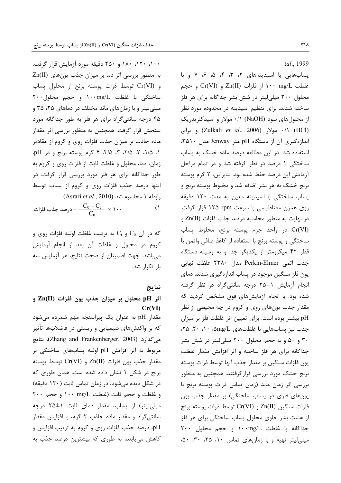$. (al., 1999)$ 

پسابهایی با اسیدیتههای ۲، ۳، ۴، ۵، ۶، ۷ و با غلظت n+۰ mg/L و Cr(VI) و Cr(VI) و حجم محلول ۲۰۰ میلی لیتر در شش بشر جداگانه برای هر فلز ساخته شدند. برای تنظیم اسیدیته در محدوده مورد نظر از محلول های سود (NaOH) ۰/۱ مولار و اسیدکلریدریک (HCl) ۰/۱ مولار (Zulkali et al., 2006) و برای اندازه گیری آن از دستگاه pH متر Jenway مدل ۲۵۱۰، استفاده شد. در این مطالعه درصد ماده خشک به پساب ساختگی ۱ درصد در نظر گرفته شد و در تمام مراحل آزمایش این درصد حفظ شده بود. بنابراین، ۲ گرم پوسته برنج خشک به هر بشر اضافه شد و مخلوط پوسته برنج و پساب ساختگی با اسیدیته معین به مدت ١٢٠ دقیقه روی همزن مغناطیسی با سرعت ۱۲۵ rpm قرار گرفت. در نهایت به منظور محاسبه درصد جذب فلزات (Zn(II Cr(VI) در واحد جرم پوسته برنج، مخلوط پساب ساختگی و پوسته برنج با استفاده از کاغذ صافی واتمن با قطر ۴۲ میکرومتر از یکدیگر جدا و به وسیله دستگاه جذب اتمى Perkin-Elmer مدل ٢٣٨٠ غلظت نهايي یون فلز سنگین موجود در پساب اندازهگیری شدند. دمای انجام آزمایش ۱±۲۵ درجه سانتیگراد در نظر گرفته شده بود. با انجام آزمایشهای فوق مشخص گردید که مقدار جذب یونهای روی و کروم در چه محیطی از نظر pH بیشتر بوده است. برای تعیین اثر غلظت فلز بر میزان جذب نیز یسابهایی با غلظتهای mg/L&۰ ۰، ۲۰، ۲۵، ۳۰ و ۵۰ و به حجم محلول ۲۰۰ میلی لیتر در شش بشر جداگانه برای هر فلز ساخته و اثر افزایش مقدار غلظت يون فلزات سنگين بر مقدار جذب آنها توسط ذرات پوسته برنج خشک مورد بررسی قرارگرفتند. همچنین به منظور بررسی اثر زمان ماند (زمان تماس ذرات پوسته برنج با یونهای فلزی در پساب ساختگی) بر مقدار جذب یون فلزات سنگين Zn(II) و Cr(VI) توسط ذرات يوسته برنج از هشت بشر حاوی محلول پساب ساختگی برای هر فلز جداگانه با غلظت ۱۰۰mg/L و حجم محلول ۲۰۰ میلی لیتر تهیه و با زمانهای تماس ١٠، ٢۵، ٣٠، ۵٠،

۱۰۰، ۱۲۰، ۱۸۰ و ۲۵۰ دقیقه مورد آزمایش قرار گرفت. به منظور بررسی اثر دما بر میزان جذب یونهای (Zn(II و Cr(VI) توسط ذرات یوسته برنج از محلول پساب ساختگی با غلظت ۱۰۰mg/L و حجم محلول۲۰۰ میلی لیتر و با زمانهای ماند مختلف در دماهای ۲۵، ۳۵ و ۴۵ درجه سانتیگراد برای هر فلز به طور جداگانه مورد سنجش قرار گرفت. همچنین به منظور بررسی اثر مقدار ماده جاذب بر میزان جذب فلزات روی و کروم از مقادیر ۰۱، ۱/۵، ۲، ۲/۵، ۳، ۳/۵، ۴ گرم پوسته برنج و در pH، زمان، دما، محلول و غلظت ثابت از فلزات روى و كروم به طور جداگانه برای هر فلز مورد بررسی قرار گرفت. در انتها درصد جذب فلزات روى وكروم از يساب توسط essari et al., 2010). (Asrari et al., 2010):

$$
\frac{C_0 - C_t}{C_0} \times \cdots
$$

که در آن  $\mathrm{C}_0$  و  $\mathrm{C}_1$  به ترتیب غلظت اولیه فلزات روی و كروم در محلول و غلظت آن بعد از انجام آزمايش میباشد. جهت اطمینان از صحت نتایج، هر آزمایش سه با, تكرا, شد.

## نتايج

## اثر pH محلول بر میزان جذب یون فلزات (Zn(II  $Cr(VI)$

مقدار pH به عنوان یک پیراسنجه مهم شمرده می شود که بر واکنشهای شیمیایی و زیستی در فاضلابها تأثیر میگذارد (Zhang and Frankenberger, 2003). نتایج مربوط به اثر افزایش pH اولیه پسابهای ساختگی بر مقدار جذب يون فلزات (Zn(II و Cr(VI توسط يوسته برنج در شكل ١ نشان داده شده است. همان طورى كه در شکل دیده می شود، در زمان تماس ثابت (۱۲۰ دقیقه) و غلظت و حجم ثابت (غلظت ١٠٠ mg/L و حجم ٢٠٠ میلی لیتر) از پساب، مقدار دمای ثابت ۲۵±۲ درجه سانتی گراد و مقدار ماده جاذب ۲ گرم، با افزایش مقدار pH، درصد جذب فلزات روى وكروم به ترتيب افزايش و کاهش می یابند، به طوری که بیشترین درصد جذب به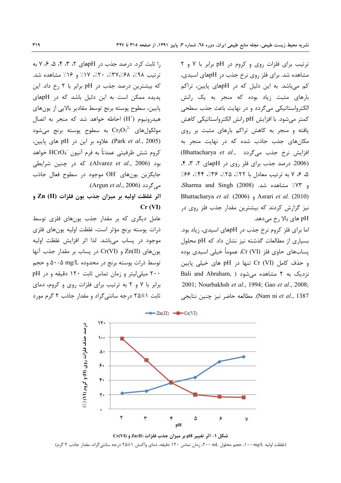ترتیب برای فلزات روی و کروم در pH برابر با ۷ و ۲ مشاهده شد. برای فلز روی نرخ جذب در pHهای اسیدی، کم میباشد. به این دلیل که در pHهای پایین، تراکم بارهای مثبت زیاد بوده که منجر به یک رانش الکترواستاتیکی میگردد و در نهایت باعث جذب سطحی كمتر مي شود. با افزايش pH رانش الكترواستاتيكي كاهش یافته و منجر به کاهش تراکم بارهای مثبت بر روی مکانهای جذب جاذب شده که در نهایت منجر به (Bhattacharya et al., افزایش نرخ جذب می گردد) (2006. درصد جذب برای فلز روی در pHهای ۲، ۳، ۴، ۵، ۶، ۷ به ترتیب معادل با ۲۲٪، ۲۵٪، ۳۶٪، ۴۴٪، ۶۶٪ و ٧٣٪ مشاهده شد. (2008) Sharma and Singh. Bhattacharya et al. (2006) , Asrari et al. (2010) نیز گزارش کردند که بیشترین مقدار جذب فلز روی در pH های بالا رخ میدهد.

اما برای فلز کروم نرخ جذب در pHهای اسیدی، زیاد بود. بسیاری از مطالعات گذشته نیز نشان داد که pH محلول پسابهای حاوی فلز Cr (VI)، عموماً خیلی اسیدی بوده و حذف كامل Cr (VI) تنها در pH های خیلی پایین Bali and Abraham, ) نزدیک به ۲ مشاهده می شود 2001; Nourbakhsh et al., 1994; Gao et al., 2008; Nam ni et al., 1387). مطالعه حاضر نيز چنين نتايجي

 $\rightarrow$  Zn(II)  $\rightarrow$  Cr(VI) IY. درصد حذف فلزات روی (II) و کروم (VI) (X)  $\overline{\phantom{a}}$  $\lambda$ ç. ٣. ٧. ۲ ۳ ۶ ۴ ۵ Ÿ  $pH$ 

شکل ۱- اثر تغییر pH بر میزان جذب فلزات (Zn(II و Cr(VI (غلظت اولیه ۱۰۰ mg/L، حجم محلول ۲۰۰ mL، زمان تماس ۱۲۰ دقیقه، دمای واکنش ۱±۲۵ درجه سانتیگراد، مقدار جاذب ۲ گرم)

را ثابت کرد. درصد جذب در pHهای ۲، ۳، ۴، ۵، ۶، ۷ به ترتيب ٩٨٪، ٣٧٪/، ٣٧٪، ٢٠٪، ١٧٪ و ١۶٪ مشاهده شد. که بیشترین درصد جذب در pH برابر با ۲ رخ داد. این یدیده ممکن است به این دلیل باشد که در pHهای پایین، سطوح پوسته برنج توسط مقادیر بالایی از یونهای هیدرونیوم (H<sup>+</sup>) احاطه خواهد شد که منجر به اتصال به سطوح پوسته برنج میشود Cr $\mathrm{Cr}_2\mathrm{O}_7^{-2}$  مولکولهای (Park et al., 2005). علاوه بر این در pH های پایین، كروم شش ظرفيتي عمدتاً به فرم آنيون HCrO4 خواهد بود (Alvarez et al., 2006). كه در چنين شرايطى جايگزين يون هاي OH<sup>-</sup> موجود در سطوح فعال جاذب .Argun et al., 2006).

اثر غلظت اوليه بر ميزان جذب يون فلزات (II) Zn  $Cr (VI)$ 

عامل دیگری که بر مقدار جذب یونهای فلزی توسط ذرات يوسته برنج مؤثر است، غلظت اوليه يونهاي فلزى موجود در پساب میباشد. لذا اثر افزایش غلظت اولیه یون های Zn(II) و Cr(VI) در پساب بر مقدار جذب آنها توسط ذرات پوسته برنج در محدوده mg/L ۵۰−۵ و حجم ۲۰۰ میلی لیتر و زمان تماس ثابت ۱۲۰ دقیقه و در pH برابر با ۷ و ۲ به ترتیب برای فلزات روی و کروم، دمای ثابت ۱±۲۵ درجه سانتیگراد و مقدار جاذب ۲ گرم مورد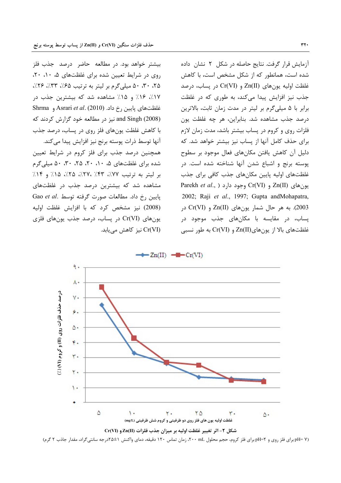آزمایش قرار گرفت. نتایج حاصله در شکل ۲ نشان داده شده است، همانطور که از شکل مشخص است، با کاهش غلظت اوليه يون هاي Zn(II) و Cr(VI) در پساب، درصد جذب نیز افزایش پیدا می کند، به طوری که در غلظت برابر با ۵ میلیگرم بر لیتر در مدت زمان ثابت، بالاترین درصد جذب مشاهده شد. بنابراین، هر چه غلظت یون فلزات روی و کروم در پساب بیشتر باشد، مدت زمان لازم برای حذف کامل آنها از پساب نیز بیشتر خواهد شد. که دلیل آن کاهش یافتن مکانهای فعال موجود بر سطوح پوسته برنج و اشباع شدن آنها شناخته شده است. در غلظتهای اولیه پایین مکانهای جذب کافی برای جذب Parekh et al., ) وجود دارد (Cr(VI) وجود بهای (Parekh et al., 2002; Raji et al., 1997; Gupta andMohapatra, 2003). به هر حال شمار یونهای Zn(II) و Cr(VI) در یساب، در مقایسه با مکانهای جذب موجود در غلظتهای بالا از یونهای Zn(II) و Cr(VI) به طور نسبی

بیشتر خواهد بود. در مطالعه حاضر درصد جذب فلز روی در شرایط تعیین شده برای غلظتهای ۵، ۱۰، ۲۰، ۲۵، ۳۰، ۵۰ میلی گرم بر لیتر به ترتیب ۶۵٪، ۳۳٪، ۲۶٪، ١٧٪، ١۶٪ و ١۵٪ مشاهده شد که بیشترین جذب در Shrma و Asrari et al. (2010) .5 و Shrma and Singh (2008) نیز در مطالعه خود گزارش کردند که با كاهش غلظت يونهاى فلز روى در پساب، درصد جذب آنها توسط ذرات یوسته برنج نیز افزایش پیدا می کند. همچنین درصد جذب برای فلز کروم در شرایط تعیین شده برای غلظتهای ۵، ۱۰، ۲، ۲۵، ۳۰، ۵۰، ۵۰ میلی گرم بر لیتر به ترتیب ۷۷٪، ۳۳٪، ۲۷٪، ۲۵٪ و ۱۴٪ مشاهده شد که بیشترین درصد جذب در غلظتهای Gao et al. مطالعات صورت گرفته توسط .Gao et al (2008) نیز مشخص کرد که با افزایش غلظت اولیه یون های Cr(VI) در پساب، درصد جذب یون های فلزی Cr(VI) نیز کاهش می باید.

> $\rightarrow$  Zn(II)  $\rightarrow$  Cr(VI) ٩.  $\Lambda$ درصد حذف فلزات روی (II) و کړوم (V) (). ٧. ۶. ۵. ٠. ٣. ٢.  $\mathcal{L}$ ۵ ٠. ۲. ۲۵ ۵٠ غلظت اولیه یون های فلز روی دو ظرفیتی و کروم شش ظرفیتی (mg/L) شكل ٢- اثر تغيير غلظت اوليه بر ميزان جذب فلزات (Zn(II و Cr(VI

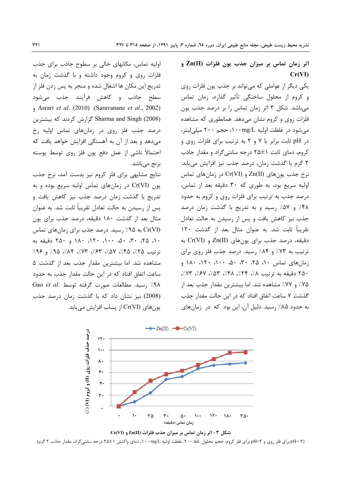اثر زمان تماس بر میزان جذب یون فلزات (Zn(II و  $Cr(VI)$ 

یکی دیگر از عواملی که میتواند بر جذب یون فلزات روی و كروم از محلول ساختگى تأثير گذارد، زمان تماس می باشد. شکل ۳ اثر زمان تماس را بر درصد جذب یون فلزات روی و کروم نشان میدهد. همانطوری که مشاهده می شود در غلظت اولیه ۱۰۰mg/L، حجم ۲۰۰ میلی لیتر، در pH ثابت برابر با ۷ و ۲ به ترتیب برای فلزات روی و کروم، دمای ثابت 1±۲۵ درجه سانتی گراد و مقدار جاذب ٢ گرم با گذشت زمان، درصد جذب نيز افزايش مى يابد.  $Cr(VI)$  نرخ جذب یون های  $Zn(II)$  و  $Cr(VI)$  در زمان های تماس اولیه سریع بود، به طوری که ۳۰ دقیقه بعد از تماس، درصد جذب به ترتیب برای فلزات روی و کروم به حدود ۴۸٪ و ۵۷٪ رسید و به تدریج با گذشت زمان درصد جذب نیز کاهش یافت و پس از رسیدن به حالت تعادل تقریباً ثابت شد. به عنوان مثال بعد از گذشت ۱۲۰ دقیقه، درصد جذب برای یونهای (Zn(II و Cr(VI به ترتیب به ۷۳٪ و ۸۴٪ رسید. درصد جذب فلز روی برای زمان های تماس ۱۰، ۲۵، ۳۰، ۵۰، ۱۰۰، ۱۲۰، ۱۸۰ و ٢۵٠ دقیقه به ترتیب ٨٪، ٣۴٪، ٣٨٪، ٣٥٪، ٧٣٪، ٣٧٪. ۷۵٪ و ۷۷٪ مشاهده شد. اما بیشترین مقدار جذب بعد از گذشت ۷ ساعت اتفاق افتاد که در این حالت مقدار جذب به حدود ۸۵٪ رسید. دلیل آن، این بود که در زمانهای

اولیه تماس، مکانهای خالی بر سطوح جاذب برای جذب فلزات روی و کروم وجود داشته و با گذشت زمان به تدريج اين مكان ها اشغال شده و منجر به پس زدن فلز از سطح جاذب و کاهش فرآیند جذب می,شود et al. (2010) (Saravanane et al., 2002) Sharma and Singh (2008) گزارش کردند که بیشترین درصد جذب فلز روی در زمانهای تماس اولیه رخ می دهد و بعد از آن به آهستگی افزایش خواهد یافت که احتمالاً ناشي از عمل دفع يون فلز روى توسط پوسته برنج ميباشد.

نتایج مشابهی برای فلز کروم نیز بدست آمد، نرخ جذب یون (Cr(VI در زمانهای تماس اولیه سریع بوده و به تدریج با گذشت زمان درصد جذب نیز کاهش یافت و پس از رسیدن به حالت تعادل تقریباً ثابت شد. به عنوان مثال بعد از گذشت ۱۸۰ دقیقه، درصد جذب برای یون (Cr(VI) به ۹۵٪ , سید. درصد جذب برای زمانهای تماس ١٠، ٢۵، ٣٠، ۵٠، ١٠٠، ١٢٠، ١٨٠ و ٢٥٠ دقيقه به ترتيب ٢۵٪، ٣۵٪، ٥٧٪، ٣٣٪، ٣٣٪، ٣٥٪ و ٩۶٪ مشاهده شد. اما بیشترین مقدار جذب بعد از گذشت ۵ ساعت اتفاق افتاد که در این حالت مقدار جذب به حدود Gao et al. بسيد. مطالعات صورت گرفته توسط .4A/ (2008) نیز نشان داد که با گذشت زمان درصد جذب یون های (Cr(VI از یساب افزایش می یابد.



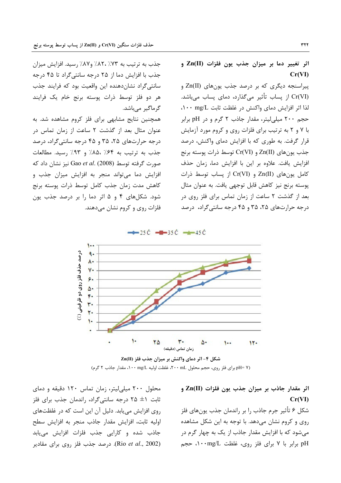جذب به ترتیب به ۷۳٪ ،۸۲٪ و۸۷٪ رسید. افزایش میزان

جذب با افزایش دما از ۲۵ درجه سانتی گراد تا ۴۵ درجه سانتی گراد نشان دهنده این واقعیت بود که فرایند جذب

هر دو فلز توسط ذرات یوسته برنج خام یک فرایند

همچنین نتایج مشابهی برای فلز کروم مشاهده شد. به عنوان مثال بعد از گذشت ٢ ساعت از زمان تماس در

درجه حرارتهای ۲۵، ۳۵ و ۴۵ درجه سانتی گراد، درصد

جذب به ترتيب به ۶۴٪ ٨۵٪ و ۹۳٪ رسيد. مطالعات صورت گرفته توسط Gao et al. (2008) نیز نشان داد که

افزایش دما می تواند منجر به افزایش میزان جذب و

كاهش مدت زمان جذب كامل توسط ذرات يوسته برنج

شود. شکلهای ۴ و ۵ اثر دما را بر درصد جذب یون

فلزات روی و کروم نشان میدهند.

گرماگیر میباشد.

اثر تغییر دما بر میزان جذب یون فلزات (Zn(II و  $Cr(VI)$ 

پیراسنجه دیگری که بر درصد جذب پونهای (Zn(II Cr(VI) از یساب تأثیر می گذارد، دمای یساب میباشد. لذا اثر افزایش دمای واکنش در غلظت ثابت mg/L، ۱۰۰ mg حجم ۲۰۰ میلی لیتر، مقدار جاذب ۲ گرم و در pH برابر با ۷ و ۲ به ترتیب برای فلزات روی و کروم مورد آزمایش قرار گرفت. به طوری که با افزایش دمای واکنش، درصد جذب يونهاي Zn(II) و Cr(VI) توسط ذرات يوسته برنج افزايش يافت. علاوه بر اين با افزايش دما، زمان حذف  $Cr(VI)$  كامل يون هاي  $Zn(II)$  و  $Cr(VI)$  از يساب توسط ذرات پوسته برنج نیز کاهش قابل توجهی یافت. به عنوان مثال بعد از گذشت ٢ ساعت از زمان تماس برای فلز روی در درجه حرارتهای ۲۵، ۳۵ و ۴۵ درجه سانتی گراد، درصد

 $-$  25  $\dot{C}$   $-$  35  $\dot{C}$   $+$  45  $\dot{C}$ 



شکل ۴- اثر دمای واکنش بر میزان جذب فلز (II)Zn pH= ۷) برای فلز روی، حجم محلول ۲۰۰ mL، غلظت اولیه n۰۰ mg/L، مقدار جاذب ۲ گرم)

محلول ۲۰۰ میلی لیتر، زمان تماس ۱۲۰ دقیقه و دمای ثابت 1± ۲۵ درجه سانتی گراد، راندمان جذب برای فلز روی افزایش می یابد. دلیل آن این است که در غلظتهای اوليه ثابت، افزايش مقدار جاذب منجر به افزايش سطح جاذب شده و كارايي جذب فلزات افزايش مىيابد (Rio et al., 2002). درصد جذب فلز روى براى مقادير

اثر مقدار جاذب بر میزان جذب یون فلزات (Zn(II و  $Cr(VI)$ شكل ۶ تأثير جرم جاذب را بر راندمان جذب يونهاي فلز روی و کروم نشان میدهد. با توجه به این شکل مشاهده می شود که با افزایش مقدار جاذب از یک به چهار گرم در pH برابر با ۷ برای فلز روی، غلظت ۱۰۰mg/L، حجم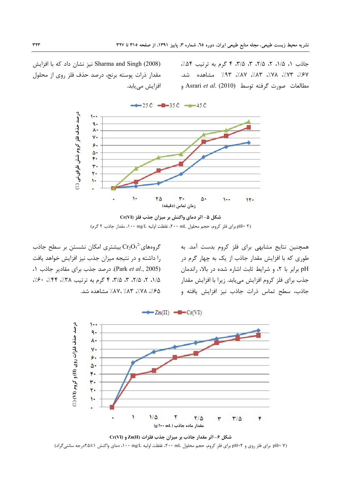جاذب ١، ١/۵، ٢، ٢/۵، ٣، ٣/۵، ۴ گرم به ترتيب ٥۴٪، ev/، ٣/./، ٣/./، ٣/./، ٩٣./، صشاهده شد. مطالعات صورت گرفته توسط Asrari *et al.* (2010) ,

نیز نشان داد که با افزایش Sharma and Singh (2008) مقدار ذرات پوسته برنج، درصد حذف فلز روی از محلول افزایش مے یابد.



 $-4-25C -85C -45C$ 

گروههای $\mathrm{Cr}_2\mathrm{O}_7^{-2}$  بیشتری امکان نشستن بر سطح جاذب را داشته و در نتیجه میزان جذب نیز افزایش خواهد یافت (Park et al., 2005). درصد جذب برای مقادیر جاذب ١، ۵/۱، ۲، ۲/۵، ۳، ۳/۵، ۴ گرم به ترتیب ۳۸٪، ۴۴٪، ۶۰٪، .4٪، ۷۸٪، ۸۷٪، ۸۷٪ مشاهده شد.

همچنین نتایج مشابهی برای فلز کروم بدست آمد. به طوری که با افزایش مقدار جاذب از یک به چهار گرم در pH برابر با ۲، و شرایط ثابت اشاره شده در بالا، راندمان جذب براي فلز كروم افزايش ميءابد. زيرا با افزايش مقدار جاذب، سطح تماس ذرات جاذب نيز افزايش يافته و



**Cr(VI) Zn(II) : '
" P: , 7" @ ;V &1>** (pH= Y برای فلز روی و pH=۲ برای فلز کروم، حجم محلول ۲۰۰ mL، غلظت اولیه n۰۰ mg/L ،۱۰۰ دمای واکنش ۱±۲۵درجه سانتیگراد)

**Cr(VI) : '
" L\* "+ @ ;S &1>** (pH= ۲ برای فلز کروم، حجم محلول ۲۰۰ mg/L ، غلظت اولیه n۰۰ mg/L ، مقدار جاذب ۲ گرم)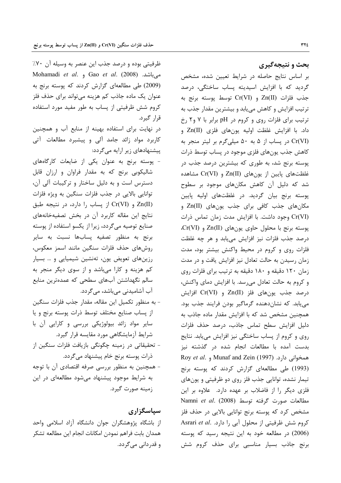بحث و نتیجهگیری

بر اساس نتایج حاصله در شرایط تعیین شده، مشخص گردید که با افزایش اسیدیته پساب ساختگی، درصد  $Cr(VI)$  و Cr(VI) توسط یوسته برنج به ترتیب افزایش و کاهش مییابد و بیشترین مقدار جذب به ترتیب برای فلزات روی و کروم در pH برابر با ۷ و۲ رخ داد. با افزایش غلظت اولیه یونهای فلزی (Zn(II و Cr(VI) در پساب از ۵ به ۵۰ میلیگرم بر لیتر منجر به کاهش جذب یونهای فلزی موجود در پساب توسط ذرات پوسته برنج شد، به طوری که بیشترین درصد جذب در غلظتهای پایین از یونهای (Zn(II و Cr(VI مشاهده شد که دلیل آن کاهش مکانهای موجود بر سطوح پوسته برنج بیان گردید. در غلظتهای اولیه پایین مکانهای جذب کافی برای جذب یونهای (Zn(II و Cr(VI) وجود داشت. با افزایش مدت زمان تماس ذرات پوسته برنج با محلول حاوی یونهای (Zn(II و Cr(VI. درصد جذب فلزات نیز افزایش می یابد و هر چه غلظت فلزات روی و کروم در محیط واکنش بیشتر بود، مدت زمان رسیدن به حالت تعادل نیز افزایش یافت و در مدت زمان ۱۲۰ دقیقه و ۱۸۰ دقیقه به ترتیب برای فلزات روی و كروم به حالت تعادل مى رسد. با افزايش دماى واكنش، درصد جذب يونهاى فلز (Zn(II و Cr(VI افزايش می یابد. که نشان دهنده گرماگیر بودن فرایند جذب بود. همچنین مشخص شد که با افزایش مقدار ماده جاذب به دلیل افزایش سطح تماس جاذب، درصد حذف فلزات روی و کروم از پساب ساختگی نیز افزایش می یابد. نتایج بدست آمده با مطالعات انجام شده در گذشته نیز Roy et al. 9 Munaf and Zein (1997) و Roy et al. (1993) طی مطالعهای گزارش کردند که پوسته برنج تیمار نشده، توانایی جذب فلز روی دو ظرفیتی و یونهای فلزی دیگر را از فاضلاب بر عهده دارد. علاوه بر این Namni et al. (2008) مطالعات صورت گرفته توسط (2008) مشخص کرد که پوسته برنج توانایی بالایی در حذف فلز كروم شش ظرفيتي از محلول آبي را دارد. .Asrari et al (2006) در مطالعه خود به این نتیجه رسید که پوسته برنج جاذب بسیار مناسبی برای حذف کروم شش

ظرفیتی بوده و درصد جذب این عنصر به وسیله آن ۷۰٪ Mohamadi et al. 9 Gao et al. (2008) . میباشد. (2009) طی مطالعهای گزارش کردند که پوسته برنج به عنوان یک ماده جاذب کم هزینه میتواند برای حذف فلز کروم شش ظرفیتی از پساب به طور مفید مورد استفاده قرار گیرد.

در نهایت برای استفاده بهینه از منابع آب و همچنین کاربرد مواد زائد جامد آلی و پیشبرد مطالعات آتی پیشنهادهای زیر ارایه میگردد:

- پوسته برنج به عنوان یکی از ضایعات کارگاههای شالیکوبی برنج که به مقدار فراوان و ارزان قابل دسترس است و به دلیل ساختار و ترکیبات آلی آن، توانایی بالایی در جذب فلزات سنگین به ویژه فلزات Zn(II) و Cr(VI) از پساب را دارد، در نتیجه طبق نتایج این مقاله کاربرد آن در بخش تصفیهخانههای صنایع توصیه میگردد، زیرا از یکسو استفاده از پوسته برنج به منظور تصفيه پسابها نسبت به ساير روش های حذف فلزات سنگین مانند اسمز معکوس، رزینهای تعویض یون، تهنشین شیمیایی و … بسیار کم هزینه و کارا میباشد و از سوی دیگر منجر به سالم نگهداشتن آبهای سطحی که عمدهترین منابع آب آشامیدنی میباشد، میگردد.
- به منظور تكميل اين مقاله، مقدار جذب فلزات سنگين از يساب صنايع مختلف توسط ذرات يوسته برنج ويا سایر مواد زائد بیولوژیکی بررسی و کارایی آن با شرایط آزمایشگاهی مورد مقایسه قرار گیرد. - تحقیقاتی در زمینه چگونگی بازیافت فلزات سنگین از ذرات پوسته برنج خام پیشنهاد میگردد.
- همچنین به منظور بررسی صرفه اقتصادی آن با توجه به شرایط موجود پیشنهاد میشود مطالعهای در این زمينه صورت گيرد.

سپاسگزاری از باشگاه پژوهشگران جوان دانشگاه آزاد اسلامی واحد همدان بابت فراهم نمودن امكانات انجام اين مطالعه تشكر و قدر دانی می گردد.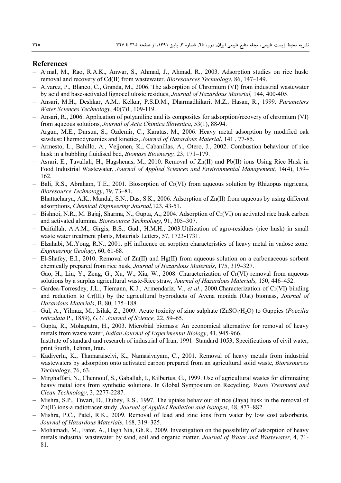#### **References**

- Ajmal, M., Rao, R.A.K., Anwar, S., Ahmad, J., Ahmad, R., 2003. Adsorption studies on rice husk: removal and recovery of Cd(II) from wastewater. *Bioresources Technology*, 86, 147–149.
- Alvarez, P., Blanco, C., Granda, M., 2006. The adsorption of Chromium (VI) from industrial wastewater by acid and base-activated lignocellulosic residues, *Journal of Hazardous Material,* 144, 400-405.
- Ansari, M.H., Deshkar, A.M., Kelkar, P.S.D.M., Dharmadhikari, M.Z., Hasan, R., 1999. *Parameters Water Sciences Technology*, 40(7)1, 109-119.
- Ansari, R., 2006. Application of polyaniline and its composites for adsorption/recovery of chromium (VI) from aqueous solutions, *Journal of Acta Chimica Slovenica*, 53(1), 88-94.
- Argun, M.E., Dursun, S., Ozdemir, C., Karatas, M., 2006. Heavy metal adsorption by modified oak sawdust:Thermodynamics and kinetics, *Journal of Hazardous Material*, 141 , 77-85.
- Armesto, L., Bahillo, A., Veijonen, K., Cabanillas, A., Otero, J., 2002. Combustion behaviour of rice husk in a bubbling fluidised bed, *Biomass Bioenergy,* 23, 171–179.
- $-$  Asrari, E., Tavallali, H., Hagshenas, M., 2010. Removal of  $Zn(II)$  and Pb(II) ions Using Rice Husk in Food Industrial Wastewater, *Journal of Applied Sciences and Environmental Management,* 14(4), 159– 162.
- Bali, R.S., Abraham, T.E., 2001. Biosorption of Cr(VI) from aqueous solution by Rhizopus nigricans, *Bioresource Technology*, 79, 73–81.
- Bhattacharya, A.K., Mandal, S.N., Das, S.K., 2006. Adsorption of Zn(II) from aqueous by using different adsorptions, *Chemical Engineering Journal*,123, 43-51.
- Bishnoi, N.R., M. Bajaj, Sharma, N., Gupta, A., 2004. Adsorption of Cr(VI) on activated rice husk carbon and activated alumina. *Bioresource Technology*, 91, 305–307.
- Daifullah, A.A.M., Girgis, B.S., Gad., H.M.H., 2003. Utilization of agro-residues (rice husk) in small waste water treatment plants, Materials Letters, 57, 1723-1731.
- Elzahabi, M.,Yong, R.N., 2001. pH influence on sorption characteristics of heavy metal in vadose zone. *Engineering Geology*, 60, 61-68.
- El-Shafey, E.I., 2010. Removal of Zn(II) and Hg(II) from aqueous solution on a carbonaceous sorbent chemically prepared from rice husk, *Journal of Hazardous Materials*, 175, 319–327.
- Gao, H., Liu, Y., Zeng, G., Xu, W., Xia, W., 2008. Characterization of Cr(VI) removal from aqueous solutions by a surplus agricultural waste-Rice straw, *Journal of Hazardous Materials,* 150, 446–452.
- Gardea-Torresdey, J.L., Tiemann, K.J., Armendariz, V., *et al*., 2000.Characterization of Cr(VI) binding and reduction to Cr(III) by the agricultural byproducts of Avena monida (Oat) biomass, *Journal of Hazardous Materials*, B. 80, 175–188.
- Gul, A., Yilmaz, M., Isilak, Z., 2009. Acute toxicity of zinc sulphate (ZnSO4·H2O) to Guppies (*Poecilia reticulata* P., 1859), *G.U. Journal of Science,* 22, 59–65.
- Gupta, R., Mohapatra, H., 2003. Microbial biomass: An economical alternative for removal of heavy metals from waste water, *Indian Journal of Experimental Biology*, 41, 945-966.
- Institute of standard and research of industrial of Iran, 1991. Standard 1053, Specifications of civil water, print fourth, Tehran, Iran.
- Kadiverlu, K., Thamaraiselvi, K., Namasivayam, C., 2001. Removal of heavy metals from industrial wastewaters by adsorption onto activated carbon prepared from an agricultural solid waste, *Bioresources Technology*, 76, 63.
- Mirghaffari, N., Chennouf, S., Gaballah, I., Kilbertus, G., 1999. Use of agricultural wastes for eliminating heavy metal ions from synthetic solutions. In Global Symposium on Recycling. *Waste Treatment and Clean Technology*, 3, 2277-2287.
- Mishra, S.P., Tiwari, D., Dubey, R.S., 1997. The uptake behaviour of rice (Jaya) husk in the removal of Zn(II) ions-a radiotracer study. *Journal of Applied Radiation and Isotopes*, 48, 877–882.
- Mishra, P.C., Patel, R.K., 2009. Removal of lead and zinc ions from water by low cost adsorbents, *Journal of Hazardous Materials*, 168, 319–325.
- Mohamadi, M., Fatot, A., Hagh Nia, Gh.R., 2009. Investigation on the possibility of adsorption of heavy metals industrial wastewater by sand, soil and organic matter. *Journal of Water and Wastewater,* 4, 71- 81.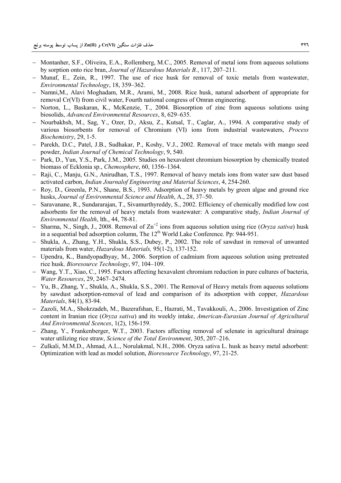- Montanher, S.F., Oliveira, E.A., Rollemberg, M.C., 2005. Removal of metal ions from aqueous solutions by sorption onto rice bran, *Journal of Hazardous Materials B.*, 117, 207–211.
- Munaf, E., Zein, R., 1997. The use of rice husk for removal of toxic metals from wastewater, *Environmental Technology*, 18, 359–362.
- Namni,M., Alavi Moghadam, M.R., Arami, M., 2008. Rice husk, natural adsorbent of appropriate for removal Cr(VI) from civil water, Fourth national congress of Omran engineering.
- Norton, L., Baskaran, K., McKenzie, T., 2004. Biosorption of zinc from aqueous solutions using biosolids, *Advanced Environmental Resources*, 8, 629–635.
- Nourbakhsh, M., Sag, Y., Ozer, D., Aksu, Z., Kutsal, T., Caglar, A., 1994. A comparative study of various biosorbents for removal of Chromium (VI) ions from industrial wastewaters, *Process Biochemistry*, 29, 1-5.
- Parekh, D.C., Patel, J.B., Sudhakar, P., Koshy, V.J., 2002. Removal of trace metals with mango seed powder, *Indian Journal of Chemical Technology*, 9, 540.
- Park, D., Yun, Y.S., Park, J.M., 2005. Studies on hexavalent chromium biosorption by chemically treated biomass of Ecklonia sp., *Chemosphere*, 60, 1356–1364.
- Raji, C., Manju, G.N., Anirudhan, T.S., 1997. Removal of heavy metals ions from water saw dust based activated carbon, *Indian Journalof Engineering and Material Sciences*, 4, 254-260.
- Roy, D., Greenla, P.N., Shane, B.S., 1993. Adsorption of heavy metals by green algae and ground rice husks, *Journal of Environmental Science and Health*, A., 28, 37–50.
- Saravanane, R., Sundararajan, T., Sivamurthyreddy, S., 2002. Efficiency of chemically modified low cost adsorbents for the removal of heavy metals from wastewater: A comparative study, *Indian Journal of Environmental Health*, lth., 44, 78-81.
- Sharma, N., Singh, J., 2008. Removal of  $\text{Zn}^{+2}$  ions from aqueous solution using rice (*Oryza sativa*) husk in a sequential bed adsorption column, The  $12<sup>th</sup>$  World Lake Conference. Pp: 944-951.
- Shukla, A., Zhang, Y.H., Shukla, S.S., Dubey, P., 2002. The role of sawdust in removal of unwanted materials from water, *Hazardous Materials,* 95(1-2), 137-152.
- Upendra, K., Bandyopadhyay, M., 2006. Sorption of cadmium from aqueous solution using pretreated rice husk. *Bioresource Technology*, 97, 104–109.
- Wang, Y.T., Xiao, C., 1995. Factors affecting hexavalent chromium reduction in pure cultures of bacteria, *Water Resources*, 29, 2467–2474.
- Yu, B., Zhang, Y., Shukla, A., Shukla, S.S., 2001. The Removal of Heavy metals from aqueous solutions by sawdust adsorption-removal of lead and comparison of its adsorption with copper, *Hazardous Materials*, 84(1), 83-94.
- Zazoli, M.A., Shokrzadeh, M., Bazerafshan, E., Hazrati, M., Tavakkouli, A., 2006. Investigation of Zinc content in Iranian rice (*Oryza sativa*) and its weekly intake, *American-Eurasian Journal of Agricultural And Environmental Scences*, 1(2), 156-159.
- Zhang, Y., Frankenberger, W.T., 2003. Factors affecting removal of selenate in agricultural drainage water utilizing rice straw, *Science of the Total Environment*, 305, 207–216.
- Zulkali, M.M.D., Ahmad, A.L., Norulakmal, N.H., 2006. Oryza sativa L. husk as heavy metal adsorbent: Optimization with lead as model solution, *Bioresource Technology*, 97, 21-25.